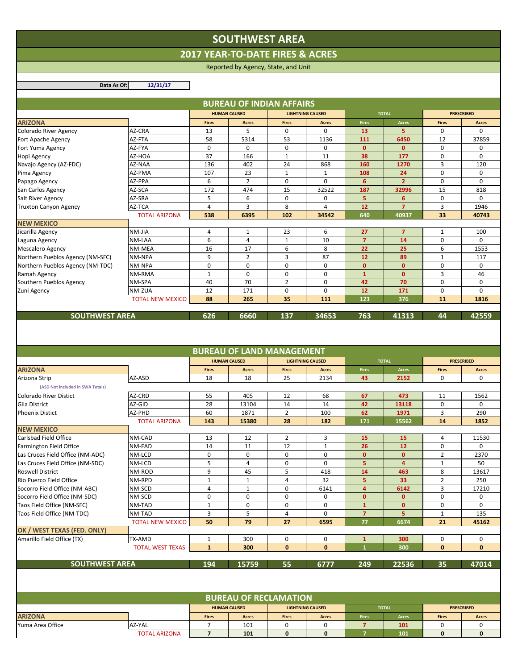## **SOUTHWEST AREA**

**2017 YEAR‐TO‐DATE FIRES & ACRES**

Reported by Agency, State, and Unit

**Data As Of: 12/31/17**

|                                  |                         |                              | <b>BUREAU OF INDIAN AFFAIRS</b>  |                |                         |                         |                |                   |                   |
|----------------------------------|-------------------------|------------------------------|----------------------------------|----------------|-------------------------|-------------------------|----------------|-------------------|-------------------|
|                                  |                         |                              | <b>HUMAN CAUSED</b>              |                | <b>LIGHTNING CAUSED</b> | <b>TOTAL</b>            |                | <b>PRESCRIBED</b> |                   |
| <b>ARIZONA</b>                   |                         | <b>Fires</b>                 | <b>Acres</b>                     | <b>Fires</b>   | <b>Acres</b>            | <b>Fires</b>            | <b>Acres</b>   | <b>Fires</b>      | <b>Acres</b>      |
| Colorado River Agency            | AZ-CRA                  | 13                           | 5                                | 0              | 0                       | 13                      | 5              | 0                 | $\Omega$          |
| Fort Apache Agency               | AZ-FTA                  | 58                           | 5314                             | 53             | 1136                    | 111                     | 6450           | 12                | 37859             |
| Fort Yuma Agency                 | AZ-FYA                  | $\mathbf 0$                  | $\mathbf 0$                      | $\mathbf 0$    | $\mathbf 0$             | $\mathbf{0}$            | $\mathbf{0}$   | $\mathbf 0$       | 0                 |
| Hopi Agency                      | AZ-HOA                  | 37                           | 166                              | 1              | 11                      | 38                      | 177            | 0                 | 0                 |
| Navajo Agency (AZ-FDC)           | AZ-NAA                  | 136                          | 402                              | 24             | 868                     | 160                     | 1270           | 3                 | 120               |
| Pima Agency                      | AZ-PMA                  | 107                          | 23                               | $\mathbf{1}$   | $\mathbf{1}$            | 108                     | 24             | $\mathbf 0$       | $\mathbf 0$       |
| Papago Agency                    | AZ-PPA                  | 6                            | $\overline{2}$                   | $\mathbf 0$    | 0                       | 6                       | $\overline{2}$ | $\mathbf 0$       | 0                 |
| San Carlos Agency                | AZ-SCA                  | 172                          | 474                              | 15             | 32522                   | 187                     | 32996          | 15                | 818               |
| Salt River Agency                | AZ-SRA                  | 5                            | 6                                | $\mathbf 0$    | $\mathbf 0$             | 5                       | 6              | $\mathbf 0$       | 0                 |
| <b>Truxton Canyon Agency</b>     | AZ-TCA                  | 4                            | 3                                | 8              | $\overline{4}$          | 12                      | $\overline{7}$ | 3                 | 1946              |
|                                  | <b>TOTAL ARIZONA</b>    | 538                          | 6395                             | 102            | 34542                   | 640                     | 40937          | 33                | 40743             |
| <b>NEW MEXICO</b>                |                         |                              |                                  |                |                         |                         |                |                   |                   |
| Jicarilla Agency                 | NM-JIA                  | 4                            | 1                                | 23             | 6                       | 27                      | $\overline{7}$ | 1                 | 100               |
| Laguna Agency                    | NM-LAA                  | 6                            | $\overline{4}$                   | $\mathbf{1}$   | 10                      | $\overline{7}$          | 14             | $\mathbf 0$       | 0                 |
| <b>Mescalero Agency</b>          | NM-MEA                  | 16                           | 17                               | 6              | 8                       | 22                      | 25             | 6                 | 1553              |
| Northern Pueblos Agency (NM-SFC) | NM-NPA                  | 9                            | $\overline{2}$                   | 3              | 87                      | 12                      | 89             | $\mathbf{1}$      | 117               |
| Northern Pueblos Agency (NM-TDC) | NM-NPA                  | $\mathbf 0$                  | $\mathbf 0$                      | $\mathbf 0$    | $\mathbf 0$             | $\mathbf{0}$            | $\mathbf{0}$   | $\mathbf 0$       | $\mathbf 0$       |
| Ramah Agency                     | NM-RMA                  | $\mathbf{1}$                 | $\pmb{0}$                        | $\pmb{0}$      | $\pmb{0}$               | $\mathbf{1}$            | $\mathbf{0}$   | 3                 | 46                |
| Southern Pueblos Agency          | NM-SPA                  | 40                           | 70                               | $\overline{2}$ | $\mathbf 0$             | 42                      | 70             | $\mathbf 0$       | $\mathbf 0$       |
| Zuni Agency                      | NM-ZUA                  | 12                           | 171                              | 0              | $\mathbf 0$             | 12                      | 171            | $\mathbf 0$       | 0                 |
|                                  | <b>TOTAL NEW MEXICO</b> | 88                           | 265                              | 35             | 111                     | 123                     | 376            | 11                | 1816              |
|                                  |                         |                              |                                  |                |                         |                         |                |                   |                   |
| <b>SOUTHWEST AREA</b>            |                         | 626                          | 6660                             | 137            | 34653                   | 763                     | 41313          | 44                | 42559             |
|                                  |                         |                              |                                  |                |                         |                         |                |                   |                   |
|                                  |                         |                              | <b>BUREAU OF LAND MANAGEMENT</b> |                |                         |                         |                |                   |                   |
|                                  |                         |                              | <b>HUMAN CAUSED</b>              |                | <b>LIGHTNING CAUSED</b> |                         | <b>TOTAL</b>   |                   | <b>PRESCRIBED</b> |
| <b>ARIZONA</b>                   |                         | <b>Fires</b>                 | <b>Acres</b>                     | <b>Fires</b>   | <b>Acres</b>            | <b>Fires</b>            | <b>Acres</b>   | <b>Fires</b>      | <b>Acres</b>      |
| Arizona Strip                    | AZ-ASD                  | 18                           | 18                               | 25             | 2134                    | 43                      | 2152           | 0                 | 0                 |
| (ASD Not included in SWA Totals) |                         |                              |                                  |                |                         |                         |                |                   |                   |
| Colorado River Distict           | AZ-CRD                  | 55                           | 405                              | 12             | 68                      | 67                      | 473            | 11                | 1562              |
| <b>Gila District</b>             | AZ-GID                  | 28                           | 13104                            | 14             | 14                      | 42                      | 13118          | $\mathbf 0$       | 0                 |
| <b>Phoenix Distict</b>           | AZ-PHD                  | 60                           | 1871                             | $\overline{2}$ | 100                     | 62                      | 1971           | 3                 | 290               |
|                                  | <b>TOTAL ARIZONA</b>    | 143                          | 15380                            | 28             | 182                     | 171                     | 15562          | 14                | 1852              |
| <b>NEW MEXICO</b>                |                         |                              |                                  |                |                         |                         |                |                   |                   |
| Carlsbad Field Office            | NM-CAD                  | 13                           | 12                               | $\overline{2}$ | 3                       | 15                      | 15             | $\overline{4}$    | 11530             |
| Farmington Field Office          | NM-FAD                  | 14                           | 11                               | 12             | $\mathbf{1}$            | 26                      | 12             | 0                 | 0                 |
| Las Cruces Field Office (NM-ADC) | NM-LCD                  | 0                            | 0                                | 0              | 0                       | $\mathbf{0}$            | $\mathbf{0}$   | $\overline{2}$    | 2370              |
| Las Cruces Field Office (NM-SDC) | NM-LCD                  | 5                            | $\overline{4}$                   | 0              | 0                       | 5                       | $\overline{4}$ | $\mathbf 1$       | 50                |
| <b>Roswell District</b>          | NM-ROD                  | 9                            | 45                               | 5              | 418                     | 14                      | 463            | 8                 | 13617             |
| Rio Puerco Field Office          | NM-RPD                  | $\mathbf{1}$                 | $\mathbf{1}$                     | 4              | 32                      | 5                       | 33             | $\overline{2}$    | 250               |
| Socorro Field Office (NM-ABC)    | NM-SCD                  | 4                            | $\mathbf{1}$                     | 0              | 6141                    | $\overline{\mathbf{4}}$ | 6142           | 3                 | 17210             |
| Socorro Field Office (NM-SDC)    | NM-SCD                  | 0                            | $\pmb{0}$                        | 0              | 0                       | $\mathbf{0}$            | $\mathbf 0$    | 0                 | 0                 |
| Taos Field Office (NM-SFC)       | NM-TAD                  | $\mathbf{1}$                 | 0                                | 0              | 0                       | $\mathbf{1}$            | $\mathbf{0}$   | 0                 | 0                 |
| Taos Field Office (NM-TDC)       | NM-TAD                  | 3                            | 5                                | 4              | 0                       | $\overline{7}$          | 5              | $\mathbf 1$       | 135               |
|                                  | <b>TOTAL NEW MEXICO</b> | 50                           | 79                               | 27             | 6595                    | 77                      | 6674           | 21                | 45162             |
| OK / WEST TEXAS (FED. ONLY)      |                         |                              |                                  |                |                         |                         |                |                   |                   |
| Amarillo Field Office (TX)       | TX-AMD                  | 1                            | 300                              | 0              | 0                       | $\mathbf{1}$            | 300            | 0                 | 0                 |
|                                  | <b>TOTAL WEST TEXAS</b> | $\mathbf{1}$                 | 300                              | $\bf{0}$       | 0                       | $\mathbf{1}$            | 300            | $\bf{0}$          | 0                 |
|                                  |                         |                              |                                  |                |                         |                         |                |                   |                   |
| <b>SOUTHWEST AREA</b>            |                         | 194                          | 15759                            | 55             | 6777                    | 249                     | 22536          | 35                | 47014             |
|                                  |                         |                              |                                  |                |                         |                         |                |                   |                   |
|                                  |                         |                              |                                  |                |                         |                         |                |                   |                   |
|                                  |                         | <b>BUREAU OF RECLAMATION</b> |                                  |                |                         |                         |                |                   |                   |
|                                  |                         |                              | <b>HUMAN CAUSED</b>              |                | <b>LIGHTNING CAUSED</b> |                         | <b>TOTAL</b>   |                   | <b>PRESCRIBED</b> |
| <b>ARIZONA</b>                   |                         | <b>Fires</b>                 | Acres                            | <b>Fires</b>   | <b>Acres</b>            | <b>Fires</b>            | Acres          | <b>Fires</b>      | <b>Acres</b>      |
| Yuma Area Office                 | AZ-YAL                  | 7                            | 101                              | 0              | 0                       | $\overline{7}$          | 101            | 0                 | 0                 |
|                                  | <b>TOTAL ARIZONA</b>    | $\overline{7}$               | 101                              | $\pmb{0}$      | 0                       | $\overline{7}$          | 101            | 0                 | 0                 |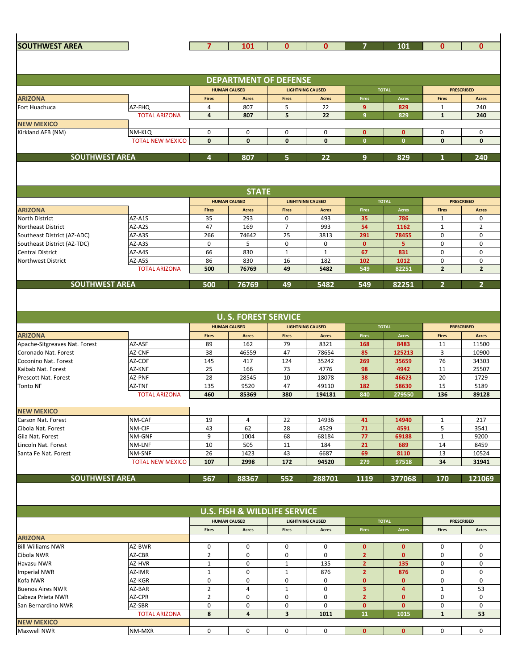| <b>SOUTHWEST AREA</b>                             |                                   | 7                   | 101                                     | $\mathbf{0}$            | $\bf{0}$                                |                | 101                     | $\mathbf{0}$      | $\mathbf{0}$                      |
|---------------------------------------------------|-----------------------------------|---------------------|-----------------------------------------|-------------------------|-----------------------------------------|----------------|-------------------------|-------------------|-----------------------------------|
|                                                   |                                   |                     |                                         |                         |                                         |                |                         |                   |                                   |
|                                                   |                                   |                     |                                         |                         |                                         |                |                         |                   |                                   |
|                                                   |                                   |                     | <b>DEPARTMENT OF DEFENSE</b>            |                         |                                         |                |                         |                   |                                   |
|                                                   |                                   | <b>HUMAN CAUSED</b> |                                         |                         | <b>LIGHTNING CAUSED</b>                 |                | <b>TOTAL</b>            | <b>PRESCRIBED</b> |                                   |
| <b>ARIZONA</b>                                    |                                   | Fires               | <b>Acres</b>                            | <b>Fires</b>            | <b>Acres</b>                            | <b>Fires</b>   | Acres                   | <b>Fires</b>      | <b>Acres</b>                      |
| Fort Huachuca                                     | AZ-FHQ                            | 4                   | 807                                     | 5                       | 22                                      | 9              | 829                     | $\mathbf{1}$      | 240                               |
|                                                   | <b>TOTAL ARIZONA</b>              | $\overline{4}$      | 807                                     | 5                       | 22                                      | 9              | 829                     | $\mathbf{1}$      | 240                               |
| <b>NEW MEXICO</b><br>Kirkland AFB (NM)            |                                   | $\mathbf 0$         | 0                                       | 0                       | 0                                       | $\mathbf{0}$   | $\mathbf{0}$            | 0                 | $\mathbf 0$                       |
|                                                   | NM-KLQ<br><b>TOTAL NEW MEXICO</b> | $\bf{0}$            | $\bf{0}$                                | $\bf{0}$                | $\bf{0}$                                | $\mathbf{0}$   | $\mathbf{0}$            | 0                 | $\bf{0}$                          |
|                                                   |                                   |                     |                                         |                         |                                         |                |                         |                   |                                   |
| <b>SOUTHWEST AREA</b>                             |                                   | 4                   | 807                                     | 5                       | 22                                      | 9              | 829                     |                   | 240                               |
|                                                   |                                   |                     |                                         |                         |                                         |                |                         |                   |                                   |
|                                                   |                                   |                     |                                         |                         |                                         |                |                         |                   |                                   |
|                                                   |                                   |                     |                                         |                         |                                         |                |                         |                   |                                   |
|                                                   |                                   |                     | <b>STATE</b>                            |                         |                                         |                |                         |                   |                                   |
|                                                   |                                   | <b>Fires</b>        | <b>HUMAN CAUSED</b><br><b>Acres</b>     | <b>Fires</b>            | <b>LIGHTNING CAUSED</b><br><b>Acres</b> | <b>Fires</b>   | <b>TOTAL</b>            | <b>Fires</b>      | <b>PRESCRIBED</b><br><b>Acres</b> |
| <b>ARIZONA</b><br><b>North District</b>           | AZ-A1S                            | 35                  | 293                                     | 0                       | 493                                     | 35             | Acres<br>786            | $\mathbf{1}$      | 0                                 |
| <b>Northeast District</b>                         | AZ-A2S                            | 47                  | 169                                     | 7                       | 993                                     | 54             | 1162                    | 1                 | 2                                 |
| Southeast District (AZ-ADC)                       | AZ-A3S                            | 266                 | 74642                                   | 25                      | 3813                                    | 291            | 78455                   | 0                 | $\mathbf 0$                       |
| Southeast District (AZ-TDC)                       | AZ-A3S                            | 0                   | 5                                       | 0                       | 0                                       | $\mathbf{0}$   | 5                       | 0                 | 0                                 |
| <b>Central District</b>                           | AZ-A4S                            | 66                  | 830                                     | $\mathbf{1}$            | $\mathbf{1}$                            | 67             | 831                     | 0                 | 0                                 |
| <b>Northwest District</b>                         | AZ-A5S                            | 86                  | 830                                     | 16                      | 182                                     | 102            | 1012                    | 0                 | 0                                 |
|                                                   | <b>TOTAL ARIZONA</b>              | 500                 | 76769                                   | 49                      | 5482                                    | 549            | 82251                   | $\overline{2}$    | $\overline{2}$                    |
| <b>SOUTHWEST AREA</b>                             |                                   | 500                 | 76769                                   | 49                      | 5482                                    | 549            | 82251                   | $\overline{2}$    | $\overline{2}$                    |
|                                                   |                                   |                     |                                         |                         |                                         |                |                         |                   |                                   |
|                                                   |                                   |                     |                                         |                         |                                         |                |                         |                   |                                   |
|                                                   |                                   |                     |                                         |                         |                                         |                |                         |                   |                                   |
|                                                   |                                   |                     | <b>U. S. FOREST SERVICE</b>             |                         |                                         |                |                         |                   |                                   |
|                                                   |                                   | <b>HUMAN CAUSED</b> |                                         | <b>LIGHTNING CAUSED</b> |                                         | <b>TOTAL</b>   |                         | <b>PRESCRIBED</b> |                                   |
| <b>ARIZONA</b>                                    |                                   | Fires               | <b>Acres</b>                            | <b>Fires</b>            | <b>Acres</b>                            | <b>Fires</b>   | Acres                   | <b>Fires</b>      | <b>Acres</b>                      |
| Apache-Sitgreaves Nat. Forest                     | AZ-ASF                            | 89                  | 162                                     | 79                      | 8321                                    | 168            | 8483                    | 11                | 11500                             |
| Coronado Nat. Forest                              | AZ-CNF                            | 38                  | 46559                                   | 47                      | 78654                                   | 85             | 125213                  | 3                 | 10900                             |
| Coconino Nat. Forest                              | AZ-COF                            | 145                 | 417                                     | 124                     | 35242                                   | 269            | 35659                   | 76                | 34303                             |
| Kaibab Nat. Forest<br><b>Prescott Nat. Forest</b> | AZ-KNF<br>AZ-PNF                  | 25<br>28            | 166<br>28545                            | 73<br>10                | 4776<br>18078                           | 98<br>38       | 4942<br>46623           | 11<br>20          | 25507<br>1729                     |
| <b>Tonto NF</b>                                   | AZ-TNF                            | 135                 | 9520                                    | 47                      | 49110                                   | 182            | 58630                   | 15                | 5189                              |
|                                                   | <b>TOTAL ARIZONA</b>              | 460                 | 85369                                   | 380                     | 194181                                  | 840            | 279550                  | 136               | 89128                             |
|                                                   |                                   |                     |                                         |                         |                                         |                |                         |                   |                                   |
| <b>NEW MEXICO</b>                                 |                                   |                     |                                         |                         |                                         |                |                         |                   |                                   |
| Carson Nat. Forest                                | NM-CAF                            | 19                  | 4                                       | 22                      | 14936                                   | 41             | 14940                   | $\mathbf{1}$      | 217                               |
| Cibola Nat. Forest                                | NM-CIF                            | 43                  | 62                                      | 28                      | 4529                                    | 71             | 4591                    | 5                 | 3541                              |
| Gila Nat. Forest                                  | NM-GNF                            | 9                   | 1004                                    | 68                      | 68184                                   | 77             | 69188                   | $\mathbf{1}$      | 9200                              |
| Lincoln Nat. Forest                               | NM-LNF                            | 10                  | 505                                     | 11                      | 184                                     | 21             | 689                     | 14                | 8459                              |
| Santa Fe Nat. Forest                              | NM-SNF<br><b>TOTAL NEW MEXICO</b> | 26<br>107           | 1423<br>2998                            | 43<br>172               | 6687<br>94520                           | 69<br>279      | 8110<br>97518           | 13<br>34          | 10524<br>31941                    |
|                                                   |                                   |                     |                                         |                         |                                         |                |                         |                   |                                   |
| <b>SOUTHWEST AREA</b>                             |                                   | 567                 | 88367                                   | 552                     | 288701                                  | 1119           | 377068                  | 170               | 121069                            |
|                                                   |                                   |                     |                                         |                         |                                         |                |                         |                   |                                   |
|                                                   |                                   |                     |                                         |                         |                                         |                |                         |                   |                                   |
|                                                   |                                   |                     |                                         |                         |                                         |                |                         |                   |                                   |
|                                                   |                                   |                     | <b>U.S. FISH &amp; WILDLIFE SERVICE</b> |                         |                                         |                |                         |                   |                                   |
|                                                   |                                   |                     | <b>HUMAN CAUSED</b>                     |                         | <b>LIGHTNING CAUSED</b>                 |                | <b>TOTAL</b>            |                   | <b>PRESCRIBED</b>                 |
| <b>ARIZONA</b>                                    |                                   | <b>Fires</b>        | Acres                                   | <b>Fires</b>            | Acres                                   | <b>Fires</b>   | Acres                   | <b>Fires</b>      | Acres                             |
| <b>Bill Williams NWR</b>                          | AZ-BWR                            | 0                   | 0                                       | 0                       | 0                                       | $\mathbf{0}$   | $\mathbf{0}$            | 0                 | 0                                 |
| Cibola NWR                                        | AZ-CBR                            | $\overline{2}$      | 0                                       | 0                       | 0                                       | $\overline{2}$ | $\mathbf{0}$            | 0                 | 0                                 |
| Havasu NWR                                        | AZ-HVR                            | $\mathbf{1}$        | 0                                       | $\mathbf{1}$            | 135                                     | $\overline{2}$ | 135                     | 0                 | 0                                 |
| <b>Imperial NWR</b>                               | AZ-IMR                            | $\mathbf{1}$        | 0                                       | $\mathbf{1}$            | 876                                     | $\overline{2}$ | 876                     | 0                 | 0                                 |
| Kofa NWR                                          | AZ-KGR                            | 0                   | 0                                       | 0                       | 0                                       | $\mathbf{0}$   | $\mathbf{0}$            | 0                 | 0                                 |
| <b>Buenos Aires NWR</b>                           | AZ-BAR                            | $\overline{2}$      | 4                                       | $\mathbf{1}$            | 0                                       | 3              | $\overline{\mathbf{4}}$ | $1\,$             | 53                                |
| Cabeza Prieta NWR                                 | AZ-CPR                            | $\overline{2}$      | 0                                       | 0                       | 0                                       | $\overline{2}$ | $\mathbf{0}$            | 0                 | 0                                 |
| San Bernardino NWR                                | AZ-SBR                            | 0                   | 0                                       | 0                       | 0                                       | $\mathbf{0}$   | $\mathbf{0}$            | 0                 | 0                                 |
|                                                   | <b>TOTAL ARIZONA</b>              | 8                   | $\overline{4}$                          | $\overline{\mathbf{3}}$ | 1011                                    | 11             | 1015                    | $\mathbf{1}$      | 53                                |
| <b>NEW MEXICO</b>                                 |                                   |                     |                                         |                         |                                         |                |                         |                   |                                   |
| Maxwell NWR                                       | NM-MXR                            | 0                   | 0                                       | 0                       | 0                                       | $\mathbf{0}$   | $\mathbf{0}$            | 0                 | 0                                 |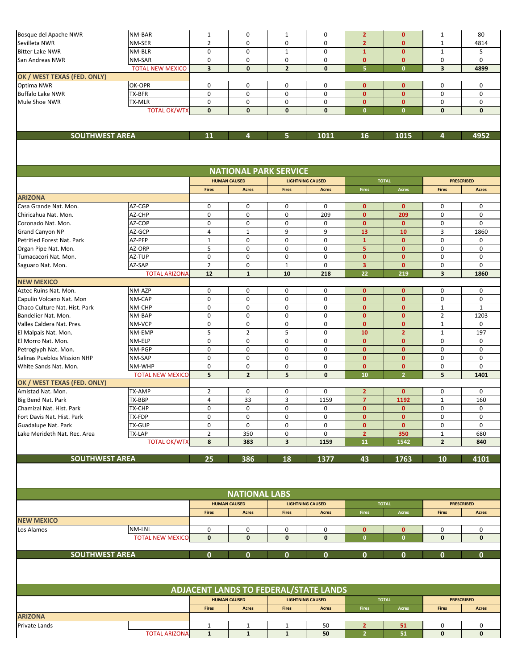| Bosque del Apache NWR                             | NM-BAR                  | 1                                              | 0                            | 1              | $\mathbf 0$             | $\overline{2}$               | $\mathbf{0}$                 | 1                       | 80                |
|---------------------------------------------------|-------------------------|------------------------------------------------|------------------------------|----------------|-------------------------|------------------------------|------------------------------|-------------------------|-------------------|
| Sevilleta NWR                                     | NM-SER                  | $\overline{2}$                                 | $\mathbf 0$                  | $\mathbf 0$    | 0                       | $\overline{2}$               | $\mathbf{0}$                 | $\mathbf{1}$            | 4814              |
| <b>Bitter Lake NWR</b>                            | NM-BLR                  | 0                                              | 0                            | $\mathbf{1}$   | 0                       | $\mathbf{1}$                 | $\mathbf{0}$                 | $\mathbf{1}$            | 5                 |
| San Andreas NWR                                   | NM-SAR                  | 0                                              | 0                            | 0              | 0                       | $\mathbf{0}$                 | $\mathbf{0}$                 | 0                       | $\mathbf 0$       |
|                                                   | <b>TOTAL NEW MEXICO</b> | $\overline{\mathbf{3}}$                        | $\mathbf{0}$                 | $\overline{2}$ | 0                       | $\overline{5}$               | $\mathbf{0}$                 | $\overline{\mathbf{3}}$ | 4899              |
| OK / WEST TEXAS (FED. ONLY)                       |                         |                                                |                              |                |                         |                              |                              |                         |                   |
| Optima NWR                                        | OK-OPR                  | $\mathbf 0$                                    | 0                            | 0              | $\mathbf 0$             | $\mathbf{0}$                 | $\mathbf{0}$                 | 0                       | 0                 |
| <b>Buffalo Lake NWR</b>                           | TX-BFR                  | 0                                              | 0                            | 0              | 0                       | $\mathbf{0}$                 | $\mathbf{0}$                 | 0                       | 0                 |
| Mule Shoe NWR                                     | TX-MLR                  | 0                                              | 0                            | 0              | 0                       | $\mathbf{0}$<br>$\mathbf{0}$ | $\mathbf{0}$<br>$\mathbf{0}$ | $\pmb{0}$               | 0                 |
|                                                   | <b>TOTAL OK/WTX</b>     | $\mathbf{0}$                                   | $\mathbf{0}$                 | $\mathbf{0}$   | $\mathbf{0}$            |                              |                              | $\mathbf{0}$            | $\mathbf{0}$      |
|                                                   |                         |                                                |                              |                |                         |                              |                              |                         |                   |
| <b>SOUTHWEST AREA</b>                             |                         | 11                                             | 4                            | 5.             | 1011                    | 16                           | 1015                         | 4                       | 4952              |
|                                                   |                         |                                                |                              |                |                         |                              |                              |                         |                   |
|                                                   |                         |                                                |                              |                |                         |                              |                              |                         |                   |
|                                                   |                         |                                                | <b>NATIONAL PARK SERVICE</b> |                |                         |                              |                              |                         |                   |
|                                                   |                         |                                                | <b>HUMAN CAUSED</b>          |                | <b>LIGHTNING CAUSED</b> |                              | <b>TOTAL</b>                 |                         | <b>PRESCRIBED</b> |
| <b>ARIZONA</b>                                    |                         | <b>Fires</b>                                   | <b>Acres</b>                 | <b>Fires</b>   | <b>Acres</b>            | <b>Fires</b>                 | Acres                        | <b>Fires</b>            | <b>Acres</b>      |
| Casa Grande Nat. Mon.                             | AZ-CGP                  | 0                                              | 0                            | 0              | 0                       | $\mathbf{0}$                 | $\mathbf{0}$                 | 0                       | 0                 |
| Chiricahua Nat. Mon.                              | AZ-CHP                  | 0                                              | 0                            | 0              | 209                     | $\mathbf{0}$                 | 209                          | 0                       | 0                 |
| Coronado Nat. Mon.                                | AZ-COP                  | $\pmb{0}$                                      | 0                            | 0              | 0                       | $\mathbf{0}$                 | $\mathbf{0}$                 | 0                       | 0                 |
| <b>Grand Canyon NP</b>                            | AZ-GCP                  | 4                                              | 1                            | 9              | 9                       | 13                           | 10                           | 3                       | 1860              |
| Petrified Forest Nat. Park                        | AZ-PFP                  | $\mathbf{1}$                                   | 0                            | 0              | 0                       | $\mathbf 1$                  | $\mathbf{0}$                 | $\mathbf 0$             | $\mathbf 0$       |
| Organ Pipe Nat. Mon.                              | AZ-ORP                  | 5                                              | 0                            | 0              | 0                       | 5                            | $\mathbf{0}$                 | 0                       | $\mathbf 0$       |
| Tumacacori Nat. Mon.                              | AZ-TUP                  | 0                                              | 0                            | 0              | 0                       | $\mathbf{0}$                 | $\mathbf{0}$                 | 0                       | 0                 |
| Saguaro Nat. Mon.                                 | AZ-SAP                  | $\overline{2}$                                 | 0                            | $\mathbf{1}$   | 0                       | 3                            | $\mathbf{0}$                 | 0                       | 0                 |
|                                                   | <b>TOTAL ARIZONA</b>    | 12                                             | $\mathbf{1}$                 | 10             | 218                     | 22                           | 219                          | $\overline{\mathbf{3}}$ | 1860              |
| <b>NEW MEXICO</b>                                 |                         |                                                |                              |                |                         |                              |                              |                         |                   |
| Aztec Ruins Nat. Mon.                             | NM-AZP                  | 0                                              | $\mathbf 0$                  | 0              | $\mathbf 0$             | $\mathbf{0}$                 | $\mathbf{0}$                 | 0                       | 0                 |
| Capulin Volcano Nat. Mon                          | NM-CAP                  | 0                                              | 0                            | 0              | 0                       | $\mathbf{0}$                 | $\mathbf{0}$                 | 0                       | 0                 |
| Chaco Culture Nat. Hist. Park                     | NM-CHP                  | $\pmb{0}$                                      | $\pmb{0}$                    | $\pmb{0}$      | $\pmb{0}$               | $\mathbf{0}$                 | $\mathbf{0}$                 | $\mathbf 1$             | $\mathbf{1}$      |
| Bandelier Nat. Mon.                               | NM-BAP                  | 0<br>0                                         | 0<br>0                       | 0<br>0         | 0<br>0                  | $\mathbf{0}$<br>$\mathbf 0$  | $\mathbf{0}$<br>$\mathbf{0}$ | $\overline{2}$<br>1     | 1203<br>0         |
| Valles Caldera Nat. Pres.<br>El Malpais Nat. Mon. | NM-VCP<br>NM-EMP        | 5                                              | $\overline{2}$               | 5              | $\pmb{0}$               | 10                           | $\overline{2}$               | $\mathbf{1}$            | 197               |
| El Morro Nat. Mon.                                | NM-ELP                  | 0                                              | 0                            | 0              | 0                       | $\mathbf{0}$                 | $\mathbf{0}$                 | 0                       | 0                 |
| Petroglyph Nat. Mon.                              | NM-PGP                  | 0                                              | 0                            | 0              | $\mathbf 0$             | $\mathbf 0$                  | $\mathbf{0}$                 | 0                       | 0                 |
| Salinas Pueblos Mission NHP                       | NM-SAP                  | $\pmb{0}$                                      | $\mathbf 0$                  | $\mathbf 0$    | 0                       | $\mathbf{0}$                 | $\mathbf{0}$                 | 0                       | 0                 |
| White Sands Nat. Mon.                             | NM-WHP                  | 0                                              | 0                            | 0              | 0                       | $\mathbf{0}$                 | $\mathbf{0}$                 | 0                       | 0                 |
|                                                   | <b>TOTAL NEW MEXICO</b> | 5                                              | $\overline{2}$               | 5              | $\pmb{0}$               | 10                           | $\overline{2}$               | 5                       | 1401              |
| OK / WEST TEXAS (FED. ONLY)                       |                         |                                                |                              |                |                         |                              |                              |                         |                   |
| Amistad Nat. Mon.                                 | TX-AMP                  | $\overline{2}$                                 | 0                            | 0              | 0                       | $\overline{2}$               | $\mathbf{0}$                 | 0                       | 0                 |
| Big Bend Nat. Park                                | TX-BBP                  | 4                                              | 33                           | 3              | 1159                    | $\overline{7}$               | 1192                         | $\mathbf{1}$            | 160               |
| Chamizal Nat. Hist. Park                          | TX-CHP                  | 0                                              | 0                            | 0              | 0                       | $\mathbf{0}$                 | $\mathbf{0}$                 | 0                       | 0                 |
| Fort Davis Nat. Hist. Park                        | TX-FDP                  | 0                                              | 0                            | 0              | 0                       | $\mathbf{0}$                 | $\mathbf{0}$                 | 0                       | 0                 |
| Guadalupe Nat. Park                               | TX-GUP                  | 0                                              | 0                            | 0              | 0                       | $\mathbf{0}$                 | $\mathbf{0}$                 | 0                       | 0                 |
| Lake Merideth Nat. Rec. Area                      | TX-LAP                  | $\overline{2}$                                 | 350                          | 0              | 0                       | $\overline{2}$               | 350                          | $\mathbf 1$             | 680               |
|                                                   | <b>TOTAL OK/WTX</b>     | 8                                              | 383                          | 3              | 1159                    | 11                           | 1542                         | $\mathbf{2}$            | 840               |
| <b>SOUTHWEST AREA</b>                             |                         | 25                                             | 386                          | 18             | 1377                    | 43                           | 1763                         | 10                      | 4101              |
|                                                   |                         |                                                |                              |                |                         |                              |                              |                         |                   |
|                                                   |                         |                                                | <b>NATIONAL LABS</b>         |                |                         |                              |                              |                         |                   |
|                                                   |                         | <b>HUMAN CAUSED</b><br><b>LIGHTNING CAUSED</b> |                              |                |                         |                              | <b>TOTAL</b>                 | <b>PRESCRIBED</b>       |                   |
|                                                   |                         | <b>Fires</b>                                   | <b>Acres</b>                 | <b>Fires</b>   | Acres                   | <b>Fires</b>                 | Acres                        | <b>Fires</b>            | <b>Acres</b>      |
| <b>NEW MEXICO</b>                                 |                         |                                                |                              |                |                         |                              |                              |                         |                   |
| Los Alamos                                        | NM-LNL                  | 0                                              | 0                            | 0              | 0                       | $\mathbf{0}$                 | $\mathbf{0}$                 | 0                       | 0                 |
|                                                   | <b>TOTAL NEW MEXICO</b> | $\mathbf 0$                                    | $\mathbf 0$                  | $\mathbf 0$    | $\mathbf 0$             | $\mathbf{0}$                 | $\mathbf{0}$                 | 0                       | $\bf{0}$          |
|                                                   |                         |                                                |                              |                |                         |                              |                              |                         |                   |
| <b>SOUTHWEST AREA</b>                             |                         | $\mathbf{0}$                                   | $\mathbf{0}$                 | $\mathbf{0}$   | $\mathbf{0}$            | $\mathbf{0}$                 | $\mathbf{0}$                 | $\mathbf{0}$            | $\mathbf{0}$      |
|                                                   |                         |                                                |                              |                |                         |                              |                              |                         |                   |
|                                                   |                         |                                                |                              |                |                         |                              |                              |                         |                   |
|                                                   |                         | <b>ADJACENT LANDS TO FEDERAL/STATE LANDS</b>   |                              |                |                         | <b>TOTAL</b>                 |                              | <b>PRESCRIBED</b>       |                   |
|                                                   |                         | <b>Fires</b>                                   | <b>HUMAN CAUSED</b>          |                | <b>LIGHTNING CAUSED</b> | <b>Fires</b>                 |                              |                         |                   |
| <b>ARIZONA</b>                                    |                         |                                                | <b>Acres</b>                 | <b>Fires</b>   | Acres                   |                              | $\Large\bf Acres$            | <b>Fires</b>            | <b>Acres</b>      |
| Private Lands                                     |                         | $\mathbf{1}$                                   | $\mathbf{1}$                 | $\mathbf{1}$   | 50                      | $\overline{2}$               | 51                           | 0                       | 0                 |
|                                                   | <b>TOTAL ARIZONA</b>    | $\mathbf{1}$                                   | $\mathbf{1}$                 | $\mathbf{1}$   | 50                      | $\overline{2}$               | 51                           | $\mathbf 0$             | $\mathbf 0$       |
|                                                   |                         |                                                |                              |                |                         |                              |                              |                         |                   |